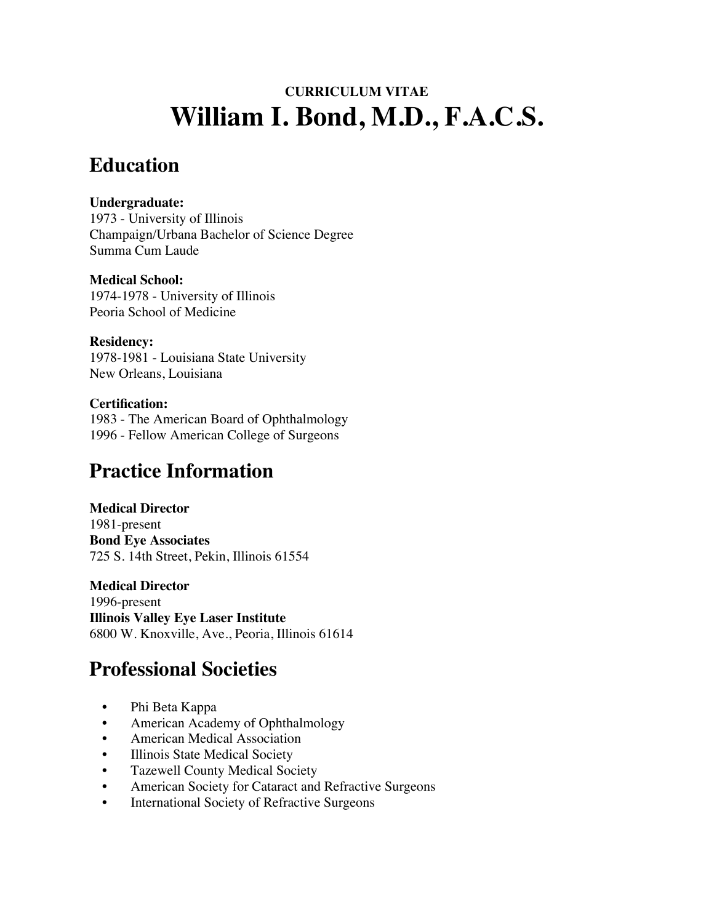# **CURRICULUM VITAE William I. Bond, M.D., F.A.C.S.**

### **Education**

#### **Undergraduate:**

1973 - University of Illinois Champaign/Urbana Bachelor of Science Degree Summa Cum Laude

#### **Medical School:**

1974-1978 - University of Illinois Peoria School of Medicine

#### **Residency:**

1978-1981 - Louisiana State University New Orleans, Louisiana

#### **Certification:**

1983 - The American Board of Ophthalmology 1996 - Fellow American College of Surgeons

## **Practice Information**

#### **Medical Director**

1981-present **Bond Eye Associates** 725 S. 14th Street, Pekin, Illinois 61554

#### **Medical Director**

1996-present **Illinois Valley Eye Laser Institute** 6800 W. Knoxville, Ave., Peoria, Illinois 61614

## **Professional Societies**

- Phi Beta Kappa
- American Academy of Ophthalmology
- American Medical Association
- Illinois State Medical Society
- Tazewell County Medical Society
- American Society for Cataract and Refractive Surgeons
- International Society of Refractive Surgeons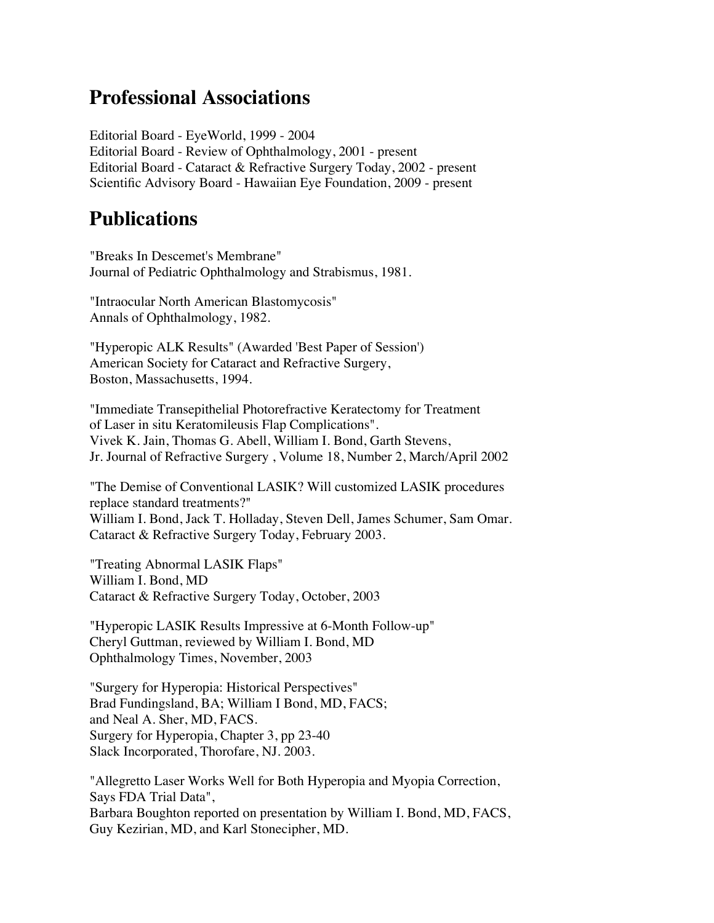### **Professional Associations**

Editorial Board - EyeWorld, 1999 - 2004 Editorial Board - Review of Ophthalmology, 2001 - present Editorial Board - Cataract & Refractive Surgery Today, 2002 - present Scientific Advisory Board - Hawaiian Eye Foundation, 2009 - present

### **Publications**

"Breaks In Descemet's Membrane" Journal of Pediatric Ophthalmology and Strabismus, 1981.

"Intraocular North American Blastomycosis" Annals of Ophthalmology, 1982.

"Hyperopic ALK Results" (Awarded 'Best Paper of Session') American Society for Cataract and Refractive Surgery, Boston, Massachusetts, 1994.

"Immediate Transepithelial Photorefractive Keratectomy for Treatment of Laser in situ Keratomileusis Flap Complications". Vivek K. Jain, Thomas G. Abell, William I. Bond, Garth Stevens, Jr. Journal of Refractive Surgery , Volume 18, Number 2, March/April 2002

"The Demise of Conventional LASIK? Will customized LASIK procedures replace standard treatments?" William I. Bond, Jack T. Holladay, Steven Dell, James Schumer, Sam Omar. Cataract & Refractive Surgery Today, February 2003.

"Treating Abnormal LASIK Flaps" William I. Bond, MD Cataract & Refractive Surgery Today, October, 2003

"Hyperopic LASIK Results Impressive at 6-Month Follow-up" Cheryl Guttman, reviewed by William I. Bond, MD Ophthalmology Times, November, 2003

"Surgery for Hyperopia: Historical Perspectives" Brad Fundingsland, BA; William I Bond, MD, FACS; and Neal A. Sher, MD, FACS. Surgery for Hyperopia, Chapter 3, pp 23-40 Slack Incorporated, Thorofare, NJ. 2003.

"Allegretto Laser Works Well for Both Hyperopia and Myopia Correction, Says FDA Trial Data", Barbara Boughton reported on presentation by William I. Bond, MD, FACS, Guy Kezirian, MD, and Karl Stonecipher, MD.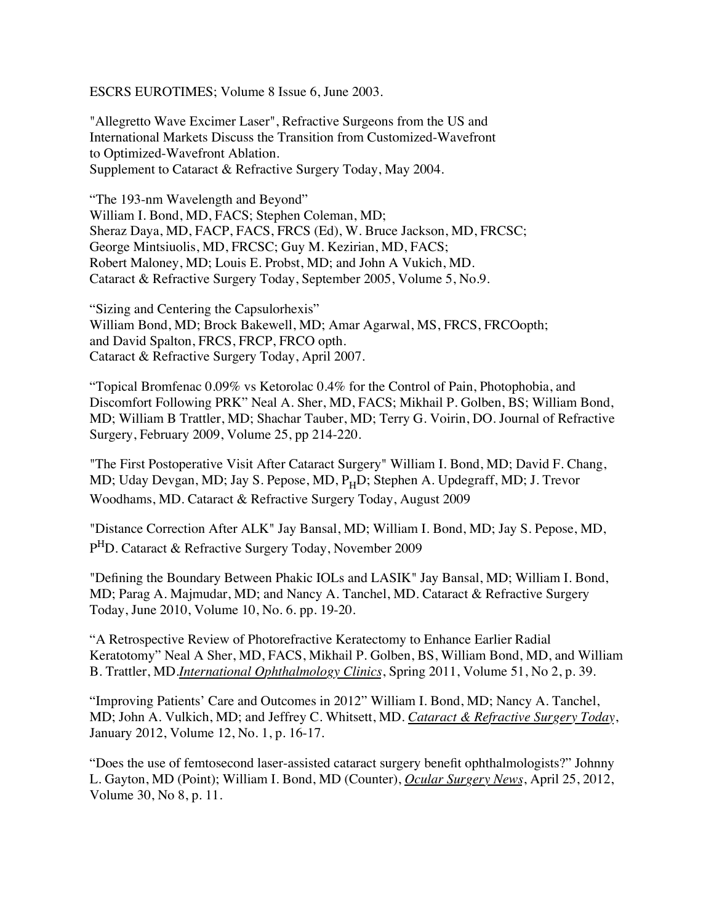ESCRS EUROTIMES; Volume 8 Issue 6, June 2003.

"Allegretto Wave Excimer Laser", Refractive Surgeons from the US and International Markets Discuss the Transition from Customized-Wavefront to Optimized-Wavefront Ablation. Supplement to Cataract & Refractive Surgery Today, May 2004.

"The 193-nm Wavelength and Beyond" William I. Bond, MD, FACS; Stephen Coleman, MD; Sheraz Daya, MD, FACP, FACS, FRCS (Ed), W. Bruce Jackson, MD, FRCSC; George Mintsiuolis, MD, FRCSC; Guy M. Kezirian, MD, FACS; Robert Maloney, MD; Louis E. Probst, MD; and John A Vukich, MD. Cataract & Refractive Surgery Today, September 2005, Volume 5, No.9.

"Sizing and Centering the Capsulorhexis" William Bond, MD; Brock Bakewell, MD; Amar Agarwal, MS, FRCS, FRCOopth; and David Spalton, FRCS, FRCP, FRCO opth. Cataract & Refractive Surgery Today, April 2007.

"Topical Bromfenac 0.09% vs Ketorolac 0.4% for the Control of Pain, Photophobia, and Discomfort Following PRK" Neal A. Sher, MD, FACS; Mikhail P. Golben, BS; William Bond, MD; William B Trattler, MD; Shachar Tauber, MD; Terry G. Voirin, DO. Journal of Refractive Surgery, February 2009, Volume 25, pp 214-220.

"The First Postoperative Visit After Cataract Surgery" William I. Bond, MD; David F. Chang, MD; Uday Devgan, MD; Jay S. Pepose, MD, P<sub>H</sub>D; Stephen A. Updegraff, MD; J. Trevor Woodhams, MD. Cataract & Refractive Surgery Today, August 2009

"Distance Correction After ALK" Jay Bansal, MD; William I. Bond, MD; Jay S. Pepose, MD, PHD. Cataract & Refractive Surgery Today, November 2009

"Defining the Boundary Between Phakic IOLs and LASIK" Jay Bansal, MD; William I. Bond, MD; Parag A. Majmudar, MD; and Nancy A. Tanchel, MD. Cataract & Refractive Surgery Today, June 2010, Volume 10, No. 6. pp. 19-20.

"A Retrospective Review of Photorefractive Keratectomy to Enhance Earlier Radial Keratotomy" Neal A Sher, MD, FACS, Mikhail P. Golben, BS, William Bond, MD, and William B. Trattler, MD.*International Ophthalmology Clinics*, Spring 2011, Volume 51, No 2, p. 39.

"Improving Patients' Care and Outcomes in 2012" William I. Bond, MD; Nancy A. Tanchel, MD; John A. Vulkich, MD; and Jeffrey C. Whitsett, MD. *Cataract & Refractive Surgery Today*, January 2012, Volume 12, No. 1, p. 16-17.

"Does the use of femtosecond laser-assisted cataract surgery benefit ophthalmologists?" Johnny L. Gayton, MD (Point); William I. Bond, MD (Counter), *Ocular Surgery News*, April 25, 2012, Volume 30, No 8, p. 11.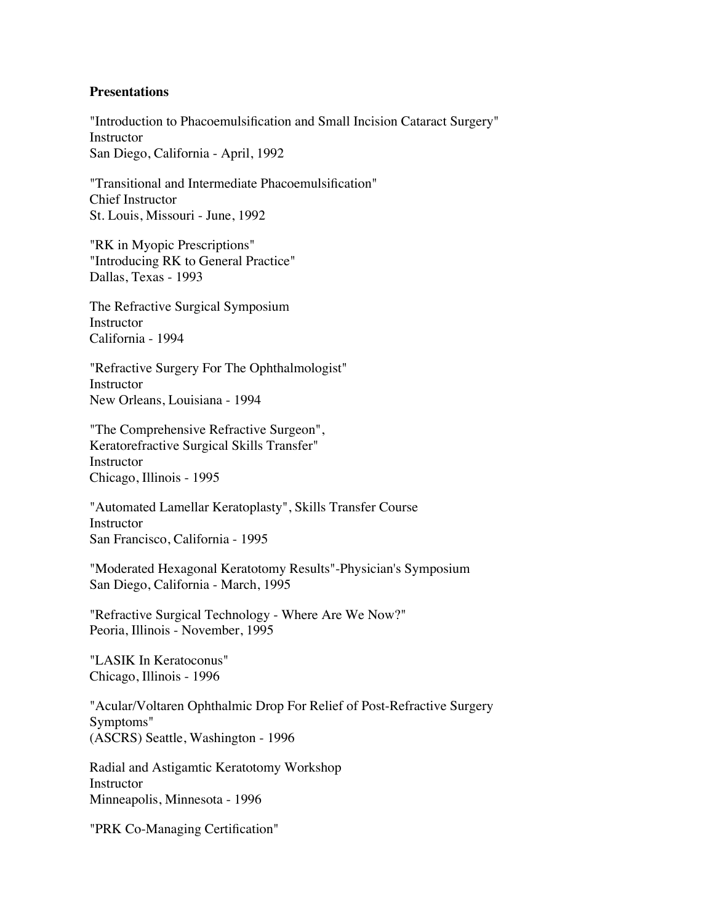#### **Presentations**

"Introduction to Phacoemulsification and Small Incision Cataract Surgery" Instructor San Diego, California - April, 1992

"Transitional and Intermediate Phacoemulsification" Chief Instructor St. Louis, Missouri - June, 1992

"RK in Myopic Prescriptions" "Introducing RK to General Practice" Dallas, Texas - 1993

The Refractive Surgical Symposium Instructor California - 1994

"Refractive Surgery For The Ophthalmologist" Instructor New Orleans, Louisiana - 1994

"The Comprehensive Refractive Surgeon", Keratorefractive Surgical Skills Transfer" Instructor Chicago, Illinois - 1995

"Automated Lamellar Keratoplasty", Skills Transfer Course Instructor San Francisco, California - 1995

"Moderated Hexagonal Keratotomy Results"-Physician's Symposium San Diego, California - March, 1995

"Refractive Surgical Technology - Where Are We Now?" Peoria, Illinois - November, 1995

"LASIK In Keratoconus" Chicago, Illinois - 1996

"Acular/Voltaren Ophthalmic Drop For Relief of Post-Refractive Surgery Symptoms" (ASCRS) Seattle, Washington - 1996

Radial and Astigamtic Keratotomy Workshop Instructor Minneapolis, Minnesota - 1996

"PRK Co-Managing Certification"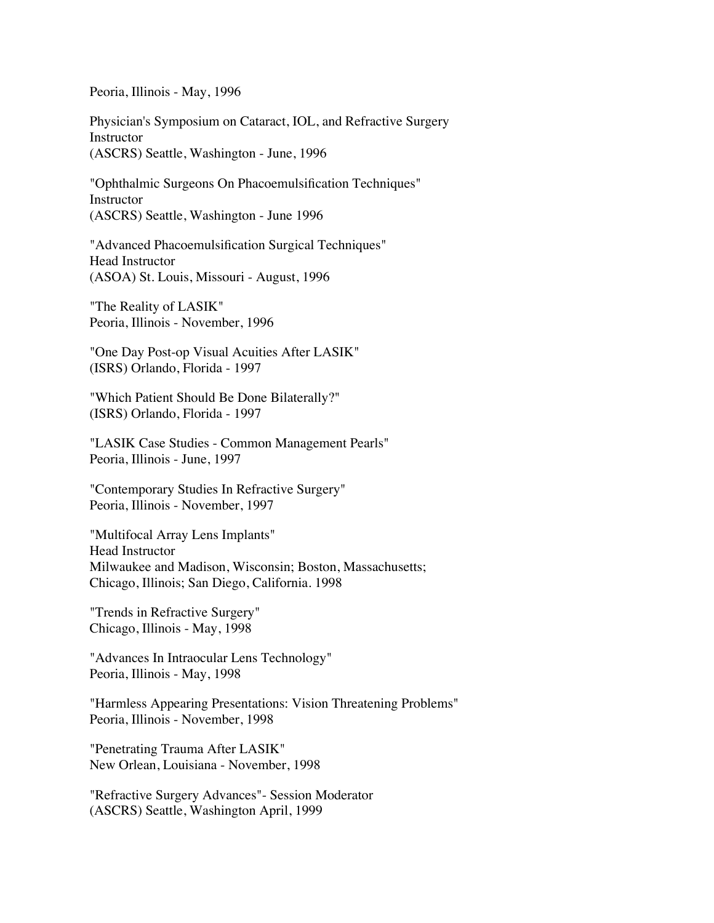Peoria, Illinois - May, 1996

Physician's Symposium on Cataract, IOL, and Refractive Surgery Instructor (ASCRS) Seattle, Washington - June, 1996

"Ophthalmic Surgeons On Phacoemulsification Techniques" Instructor (ASCRS) Seattle, Washington - June 1996

"Advanced Phacoemulsification Surgical Techniques" Head Instructor (ASOA) St. Louis, Missouri - August, 1996

"The Reality of LASIK" Peoria, Illinois - November, 1996

"One Day Post-op Visual Acuities After LASIK" (ISRS) Orlando, Florida - 1997

"Which Patient Should Be Done Bilaterally?" (ISRS) Orlando, Florida - 1997

"LASIK Case Studies - Common Management Pearls" Peoria, Illinois - June, 1997

"Contemporary Studies In Refractive Surgery" Peoria, Illinois - November, 1997

"Multifocal Array Lens Implants" Head Instructor Milwaukee and Madison, Wisconsin; Boston, Massachusetts; Chicago, Illinois; San Diego, California. 1998

"Trends in Refractive Surgery" Chicago, Illinois - May, 1998

"Advances In Intraocular Lens Technology" Peoria, Illinois - May, 1998

"Harmless Appearing Presentations: Vision Threatening Problems" Peoria, Illinois - November, 1998

"Penetrating Trauma After LASIK" New Orlean, Louisiana - November, 1998

"Refractive Surgery Advances"- Session Moderator (ASCRS) Seattle, Washington April, 1999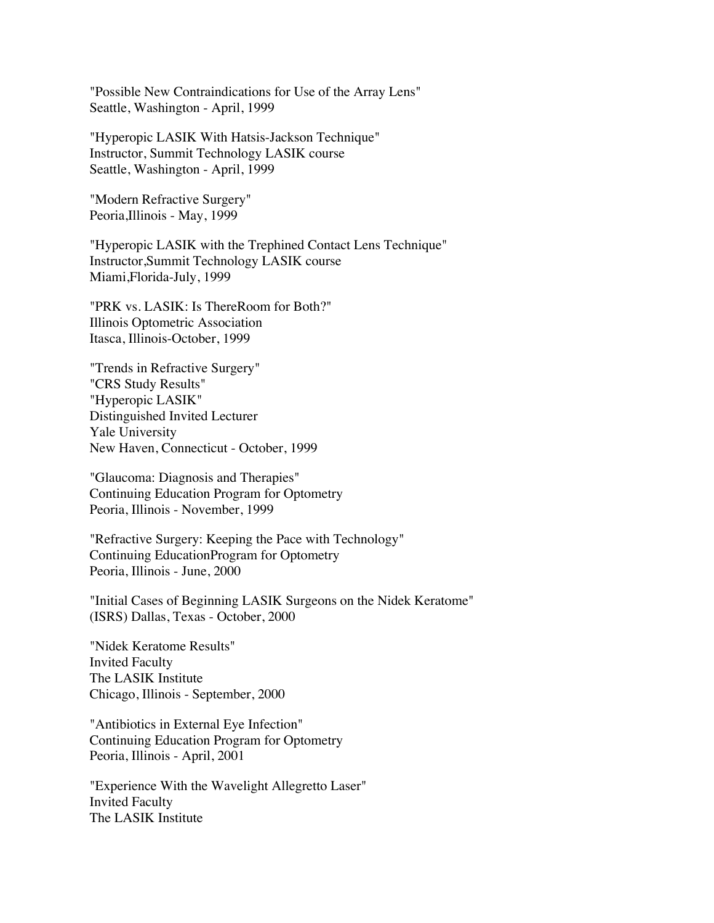"Possible New Contraindications for Use of the Array Lens" Seattle, Washington - April, 1999

"Hyperopic LASIK With Hatsis-Jackson Technique" Instructor, Summit Technology LASIK course Seattle, Washington - April, 1999

"Modern Refractive Surgery" Peoria,Illinois - May, 1999

"Hyperopic LASIK with the Trephined Contact Lens Technique" Instructor,Summit Technology LASIK course Miami,Florida-July, 1999

"PRK vs. LASIK: Is ThereRoom for Both?" Illinois Optometric Association Itasca, Illinois-October, 1999

"Trends in Refractive Surgery" "CRS Study Results" "Hyperopic LASIK" Distinguished Invited Lecturer Yale University New Haven, Connecticut - October, 1999

"Glaucoma: Diagnosis and Therapies" Continuing Education Program for Optometry Peoria, Illinois - November, 1999

"Refractive Surgery: Keeping the Pace with Technology" Continuing EducationProgram for Optometry Peoria, Illinois - June, 2000

"Initial Cases of Beginning LASIK Surgeons on the Nidek Keratome" (ISRS) Dallas, Texas - October, 2000

"Nidek Keratome Results" Invited Faculty The LASIK Institute Chicago, Illinois - September, 2000

"Antibiotics in External Eye Infection" Continuing Education Program for Optometry Peoria, Illinois - April, 2001

"Experience With the Wavelight Allegretto Laser" Invited Faculty The LASIK Institute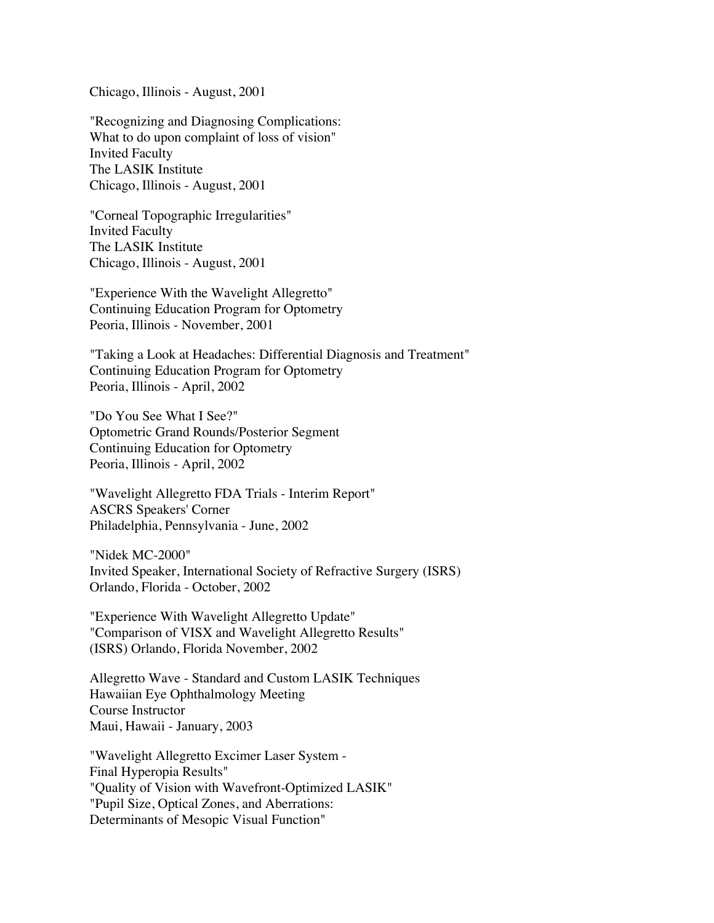Chicago, Illinois - August, 2001

"Recognizing and Diagnosing Complications: What to do upon complaint of loss of vision" Invited Faculty The LASIK Institute Chicago, Illinois - August, 2001

"Corneal Topographic Irregularities" Invited Faculty The LASIK Institute Chicago, Illinois - August, 2001

"Experience With the Wavelight Allegretto" Continuing Education Program for Optometry Peoria, Illinois - November, 2001

"Taking a Look at Headaches: Differential Diagnosis and Treatment" Continuing Education Program for Optometry Peoria, Illinois - April, 2002

"Do You See What I See?" Optometric Grand Rounds/Posterior Segment Continuing Education for Optometry Peoria, Illinois - April, 2002

"Wavelight Allegretto FDA Trials - Interim Report" ASCRS Speakers' Corner Philadelphia, Pennsylvania - June, 2002

"Nidek MC-2000" Invited Speaker, International Society of Refractive Surgery (ISRS) Orlando, Florida - October, 2002

"Experience With Wavelight Allegretto Update" "Comparison of VISX and Wavelight Allegretto Results" (ISRS) Orlando, Florida November, 2002

Allegretto Wave - Standard and Custom LASIK Techniques Hawaiian Eye Ophthalmology Meeting Course Instructor Maui, Hawaii - January, 2003

"Wavelight Allegretto Excimer Laser System - Final Hyperopia Results" "Quality of Vision with Wavefront-Optimized LASIK" "Pupil Size, Optical Zones, and Aberrations: Determinants of Mesopic Visual Function"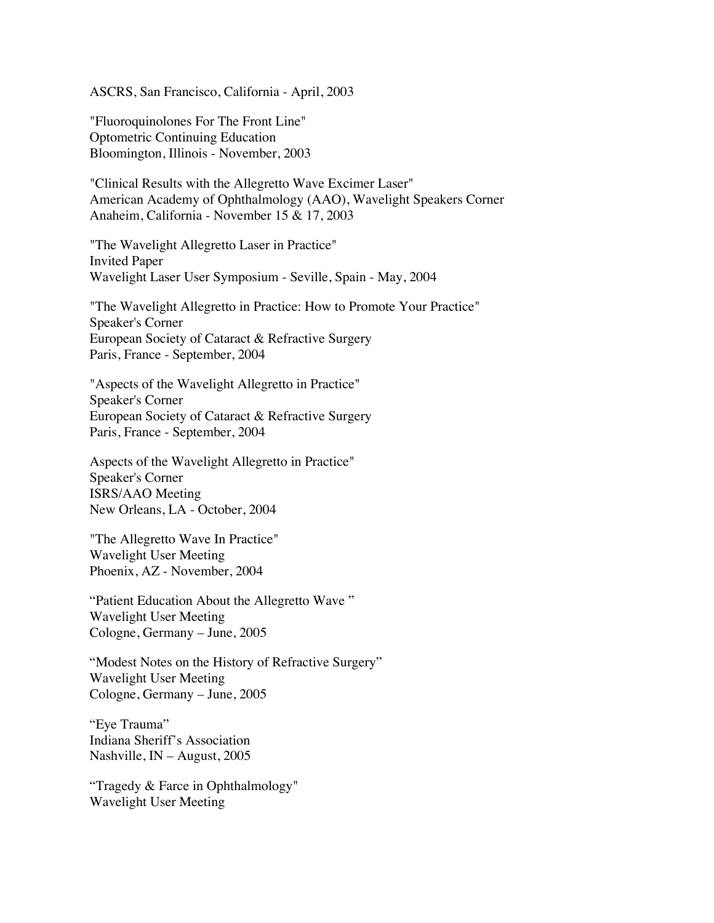ASCRS, San Francisco, California - April, 2003

"Fluoroquinolones For The Front Line" Optometric Continuing Education Bloomington, Illinois - November, 2003

"Clinical Results with the Allegretto Wave Excimer Laser" American Academy of Ophthalmology (AAO), Wavelight Speakers Corner Anaheim, California - November 15 & 17, 2003

"The Wavelight Allegretto Laser in Practice" Invited Paper Wavelight Laser User Symposium - Seville, Spain - May, 2004

"The Wavelight Allegretto in Practice: How to Promote Your Practice" Speaker's Corner European Society of Cataract & Refractive Surgery Paris, France - September, 2004

"Aspects of the Wavelight Allegretto in Practice" Speaker's Corner European Society of Cataract & Refractive Surgery Paris, France - September, 2004

Aspects of the Wavelight Allegretto in Practice" Speaker's Corner ISRS/AAO Meeting New Orleans, LA - October, 2004

"The Allegretto Wave In Practice" Wavelight User Meeting Phoenix, AZ - November, 2004

"Patient Education About the Allegretto Wave " Wavelight User Meeting Cologne, Germany – June, 2005

"Modest Notes on the History of Refractive Surgery" Wavelight User Meeting Cologne, Germany – June, 2005

"Eye Trauma" Indiana Sheriff's Association Nashville, IN – August, 2005

"Tragedy & Farce in Ophthalmology" Wavelight User Meeting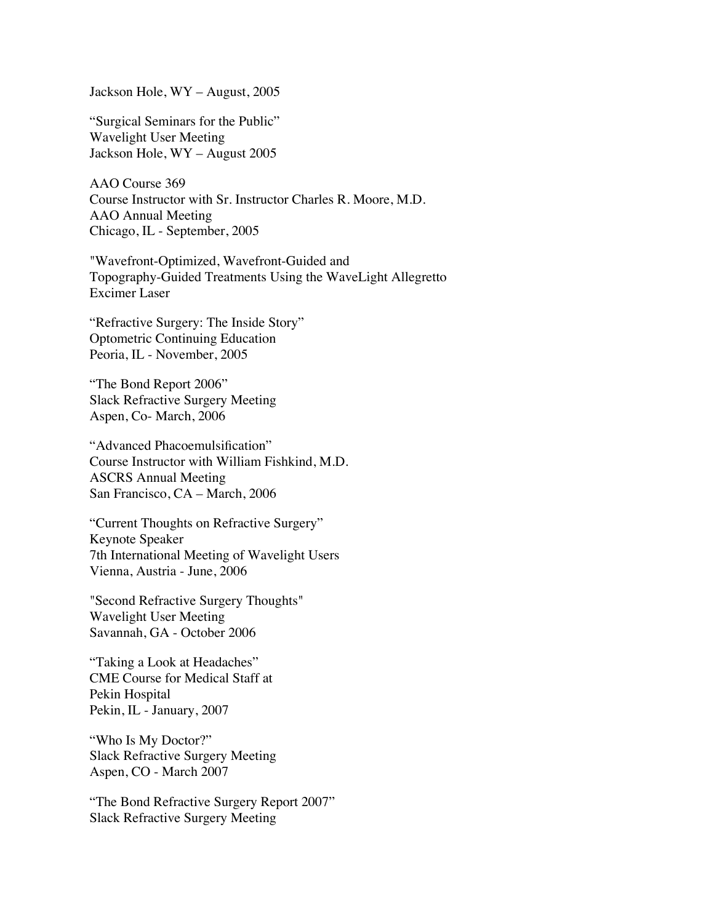Jackson Hole, WY – August, 2005

"Surgical Seminars for the Public" Wavelight User Meeting Jackson Hole, WY – August 2005

AAO Course 369 Course Instructor with Sr. Instructor Charles R. Moore, M.D. AAO Annual Meeting Chicago, IL - September, 2005

"Wavefront-Optimized, Wavefront-Guided and Topography-Guided Treatments Using the WaveLight Allegretto Excimer Laser

"Refractive Surgery: The Inside Story" Optometric Continuing Education Peoria, IL - November, 2005

"The Bond Report 2006" Slack Refractive Surgery Meeting Aspen, Co- March, 2006

"Advanced Phacoemulsification" Course Instructor with William Fishkind, M.D. ASCRS Annual Meeting San Francisco, CA – March, 2006

"Current Thoughts on Refractive Surgery" Keynote Speaker 7th International Meeting of Wavelight Users Vienna, Austria - June, 2006

"Second Refractive Surgery Thoughts" Wavelight User Meeting Savannah, GA - October 2006

"Taking a Look at Headaches" CME Course for Medical Staff at Pekin Hospital Pekin, IL - January, 2007

"Who Is My Doctor?" Slack Refractive Surgery Meeting Aspen, CO - March 2007

"The Bond Refractive Surgery Report 2007" Slack Refractive Surgery Meeting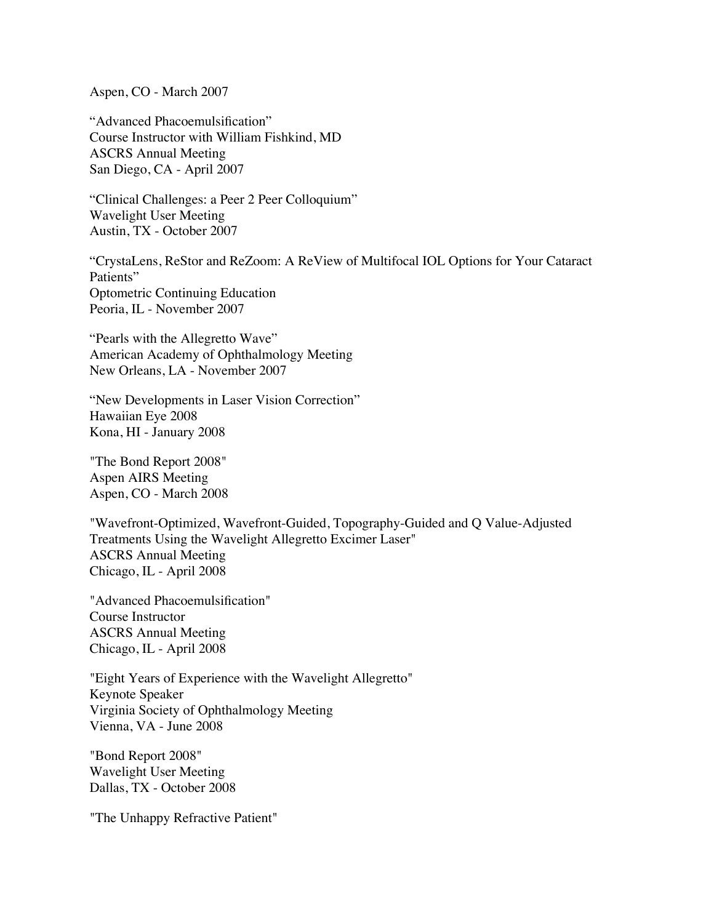Aspen, CO - March 2007

"Advanced Phacoemulsification" Course Instructor with William Fishkind, MD ASCRS Annual Meeting San Diego, CA - April 2007

"Clinical Challenges: a Peer 2 Peer Colloquium" Wavelight User Meeting Austin, TX - October 2007

"CrystaLens, ReStor and ReZoom: A ReView of Multifocal IOL Options for Your Cataract Patients" Optometric Continuing Education Peoria, IL - November 2007

"Pearls with the Allegretto Wave" American Academy of Ophthalmology Meeting New Orleans, LA - November 2007

"New Developments in Laser Vision Correction" Hawaiian Eye 2008 Kona, HI - January 2008

"The Bond Report 2008" Aspen AIRS Meeting Aspen, CO - March 2008

"Wavefront-Optimized, Wavefront-Guided, Topography-Guided and Q Value-Adjusted Treatments Using the Wavelight Allegretto Excimer Laser" ASCRS Annual Meeting Chicago, IL - April 2008

"Advanced Phacoemulsification" Course Instructor ASCRS Annual Meeting Chicago, IL - April 2008

"Eight Years of Experience with the Wavelight Allegretto" Keynote Speaker Virginia Society of Ophthalmology Meeting Vienna, VA - June 2008

"Bond Report 2008" Wavelight User Meeting Dallas, TX - October 2008

"The Unhappy Refractive Patient"